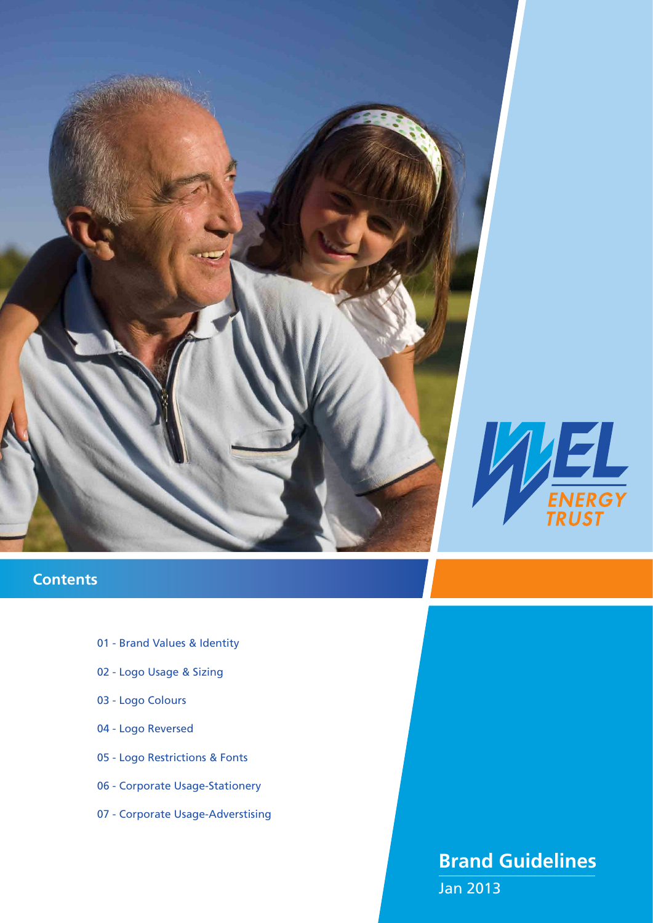

# **Contents**

- 01 Brand Values & Identity
- 02 Logo Usage & Sizing
- 03 Logo Colours
- 04 Logo Reversed
- 05 Logo Restrictions & Fonts
- 06 Corporate Usage-Stationery
- 07 Corporate Usage-Adverstising

# **Brand Guidelines**

Jan 2013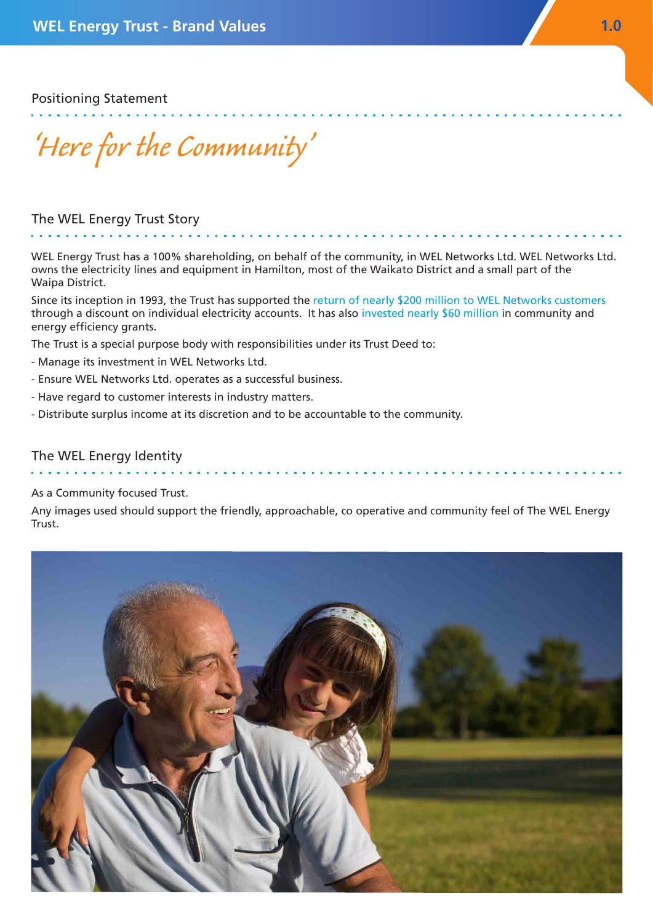Positioning Statement

*'Here for the Community'*

#### The WEL Energy Trust Story

WEL Energy Trust has a 100% shareholding, on behalf of the community, in WEL Networks Ltd. WEL Networks Ltd. owns the electricity lines and equipment in Hamilton, most of the Waikato District and a small part of the Waipa District.

Since its inception in 1993, the Trust has supported the return of nearly \$200 million to WEL Networks customers through a discount on individual electricity accounts. It has also invested nearly \$60 million in community and energy efficiency grants.

The Trust is a special purpose body with responsibilities under its Trust Deed to:

- Manage its investment in WEL Networks Ltd.
- Ensure WEL Networks Ltd. operates as a successful business.
- Have regard to customer interests in industry matters.
- Distribute surplus income at its discretion and to be accountable to the community.

#### The WEL Energy Identity

#### As a Community focused Trust.

Any images used should support the friendly, approachable, co operative and community feel of The WEL Energy **Trust** 

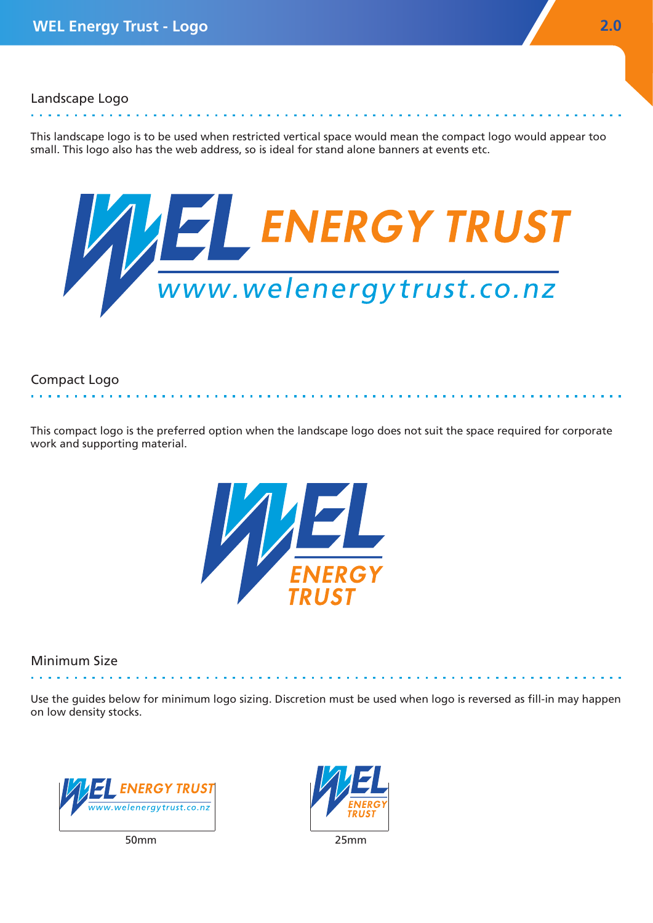This landscape logo is to be used when restricted vertical space would mean the compact logo would appear too small. This logo also has the web address, so is ideal for stand alone banners at events etc.



### Compact Logo

This compact logo is the preferred option when the landscape logo does not suit the space required for corporate work and supporting material.



## Minimum Size

Use the guides below for minimum logo sizing. Discretion must be used when logo is reversed as fill-in may happen on low density stocks.



50mm

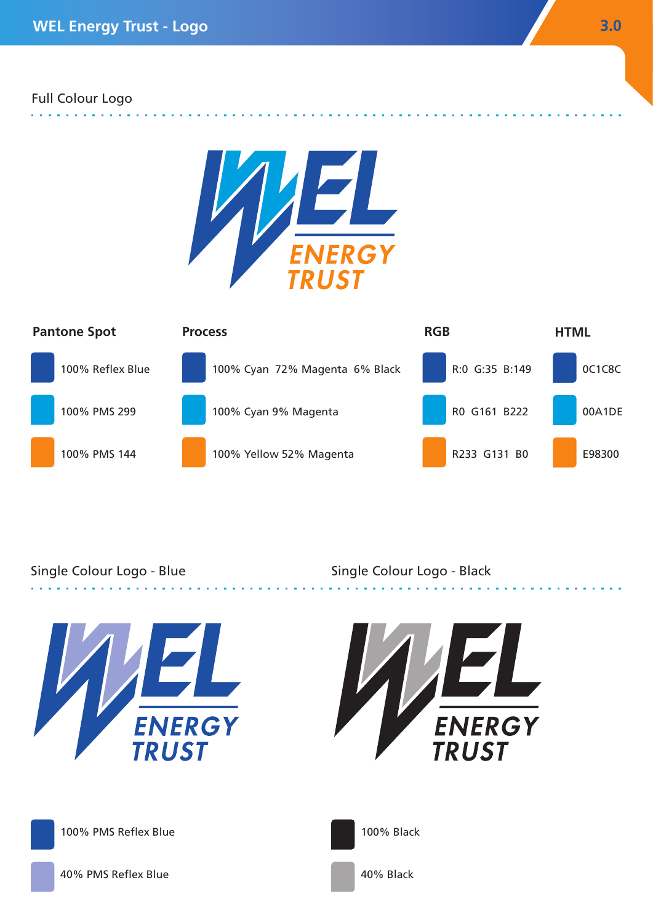### Full Colour Logo





## Single Colour Logo - Blue

Single Colour Logo - Black

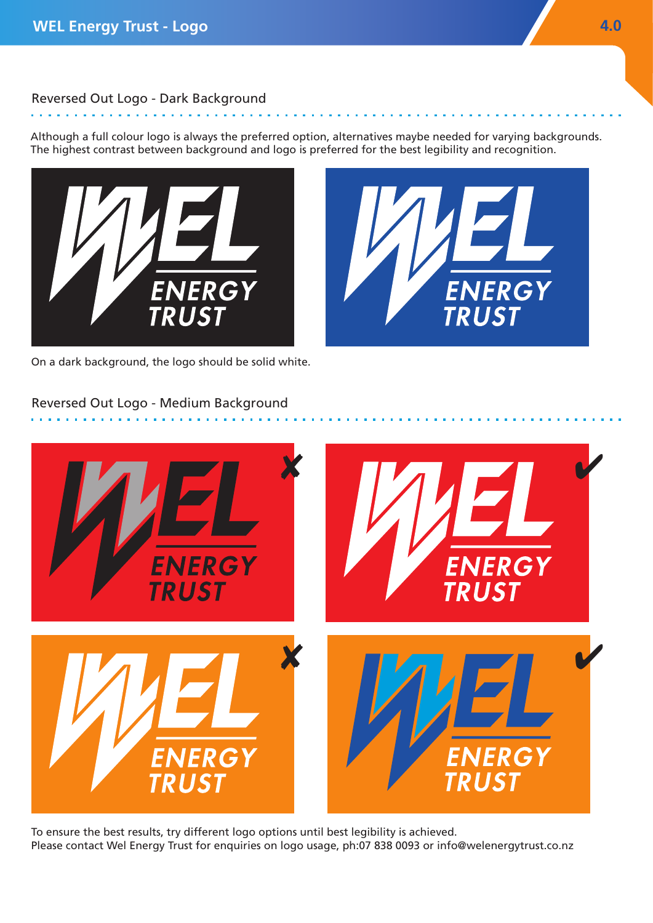á.

## Reversed Out Logo - Dark Background

Although a full colour logo is always the preferred option, alternatives maybe needed for varying backgrounds. The highest contrast between background and logo is preferred for the best legibility and recognition.



**ENERGY** 

On a dark background, the logo should be solid white.

## Reversed Out Logo - Medium Background



To ensure the best results, try different logo options until best legibility is achieved. Please contact Wel Energy Trust for enquiries on logo usage, ph:07 838 0093 or info@welenergytrust.co.nz

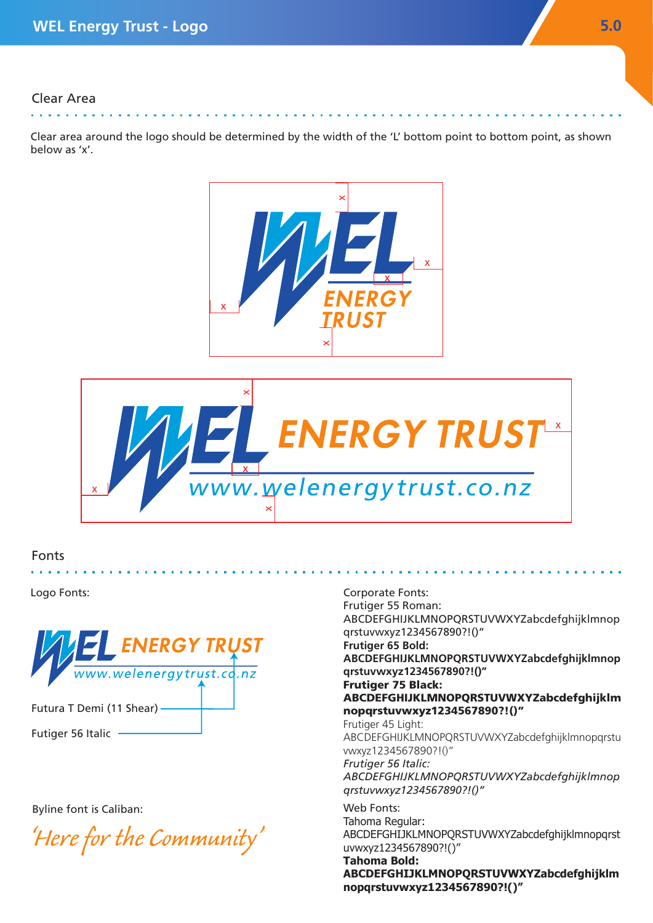#### Clear Area . . . . . . .

Clear area around the logo should be determined by the width of the 'L' bottom point to bottom point, as shown below as 'x'.





#### Fonts



Byline font is Caliban:

*'Here for the Community'*

Logo Fonts: Corporate Fonts: Frutiger 55 Roman: ABCDEFGHIJKLMNOPQRSTUVWXYZabcdefghijklmnop qrstuvwxyz1234567890?!()" **Frutiger 65 Bold: ABCDEFGHIJKLMNOPQRSTUVWXYZabcdefghijklmnop qrstuvwxyz1234567890?!()"** Frutiger 75 Black: ABCDEFGHIJKLMNOPQRSTUVWXYZabcdefghijklm nopqrstuvwxyz1234567890?!()" Frutiger 45 Light: ABCDEFGHIJKLMNOPQRSTUVWXYZabcdefghijklmnopqrstu vwxyz1234567890?!()" *Frutiger 56 Italic: ABCDEFGHIJKLMNOPQRSTUVWXYZabcdefghijklmnop qrstuvwxyz1234567890?!()"* Web Fonts: Tahoma Regular: ABCDEFGHIJKLMNOPQRSTUVWXYZabcdefghijklmnopqrst uvwxyz1234567890?!()" **Tahoma Bold:**

> **ABCDEFGHIJKLMNOPQRSTUVWXYZabcdefghijklm nopqrstuvwxyz1234567890?!()"**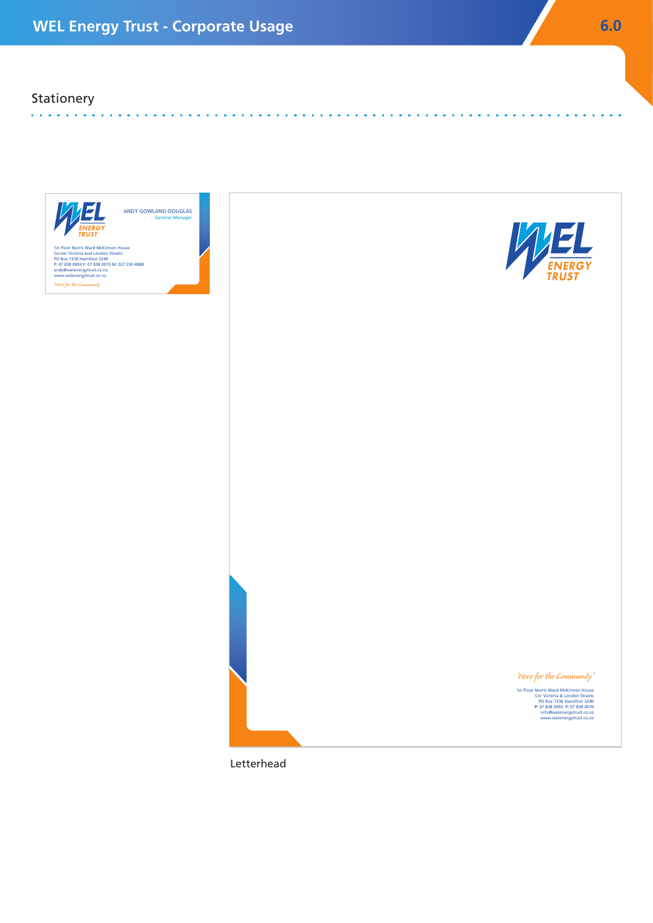## **Stationery**

**Contractor** 



Letterhead